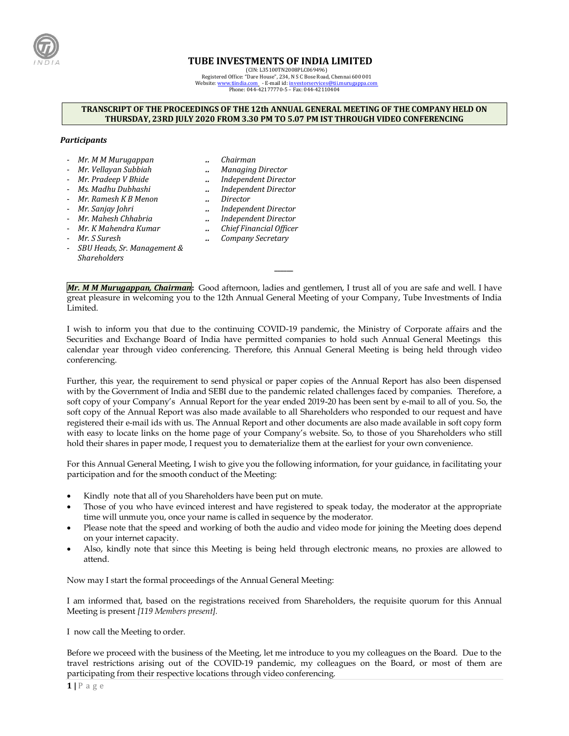

## **TUBE INVESTMENTS OF INDIA LIMITED**

(CIN: L35100TN2008PLC069496) Registered Office: "Dare House", 234, N S C Bose Road, Chennai 600 001 Website[: www.tiindia.com](http://www.tiindia.com/) - E-mail id[: investorservices@tii.murugappa.com](mailto:investorservices@tii.murugappa.com) Phone: 044-42177770-5 – Fax: 044-42110404

## **TRANSCRIPT OF THE PROCEEDINGS OF THE 12th ANNUAL GENERAL MEETING OF THE COMPANY HELD ON THURSDAY, 23RD JULY 2020 FROM 3.30 PM TO 5.07 PM IST THROUGH VIDEO CONFERENCING**

## *Participants*

- *Mr. M M Murugappan .. Chairman*
	-
- *Mr. Vellayan Subbiah .. Managing Director*
- *Mr. Pradeep V Bhide .. Independent Director*
- *Ms. Madhu Dubhashi .. Independent Director*
- *Mr. Ramesh K B Menon .. Director*
- *Mr. Sanjay Johri .. Independent Director*
- 
- 
- 
- *Mr. Mahesh Chhabria .. Independent Director*
- *Mr. K Mahendra Kumar .. Chief Financial Officer*
- *Mr. S Suresh .. Company Secretary*
- *SBU Heads, Sr. Management & Shareholders*

*Mr. M M Murugappan, Chairman***:** Good afternoon, ladies and gentlemen, I trust all of you are safe and well. I have great pleasure in welcoming you to the 12th Annual General Meeting of your Company, Tube Investments of India Limited.

**\_\_\_\_\_\_**

I wish to inform you that due to the continuing COVID-19 pandemic, the Ministry of Corporate affairs and the Securities and Exchange Board of India have permitted companies to hold such Annual General Meetings this calendar year through video conferencing. Therefore, this Annual General Meeting is being held through video conferencing.

Further, this year, the requirement to send physical or paper copies of the Annual Report has also been dispensed with by the Government of India and SEBI due to the pandemic related challenges faced by companies. Therefore, a soft copy of your Company's Annual Report for the year ended 2019-20 has been sent by e-mail to all of you. So, the soft copy of the Annual Report was also made available to all Shareholders who responded to our request and have registered their e-mail ids with us. The Annual Report and other documents are also made available in soft copy form with easy to locate links on the home page of your Company's website. So, to those of you Shareholders who still hold their shares in paper mode, I request you to dematerialize them at the earliest for your own convenience.

For this Annual General Meeting, I wish to give you the following information, for your guidance, in facilitating your participation and for the smooth conduct of the Meeting:

- Kindly note that all of you Shareholders have been put on mute.
- Those of you who have evinced interest and have registered to speak today, the moderator at the appropriate time will unmute you, once your name is called in sequence by the moderator.
- Please note that the speed and working of both the audio and video mode for joining the Meeting does depend on your internet capacity.
- Also, kindly note that since this Meeting is being held through electronic means, no proxies are allowed to attend.

Now may I start the formal proceedings of the Annual General Meeting:

I am informed that, based on the registrations received from Shareholders, the requisite quorum for this Annual Meeting is present *[119 Members present].*

I now call the Meeting to order.

Before we proceed with the business of the Meeting, let me introduce to you my colleagues on the Board. Due to the travel restrictions arising out of the COVID-19 pandemic, my colleagues on the Board, or most of them are participating from their respective locations through video conferencing.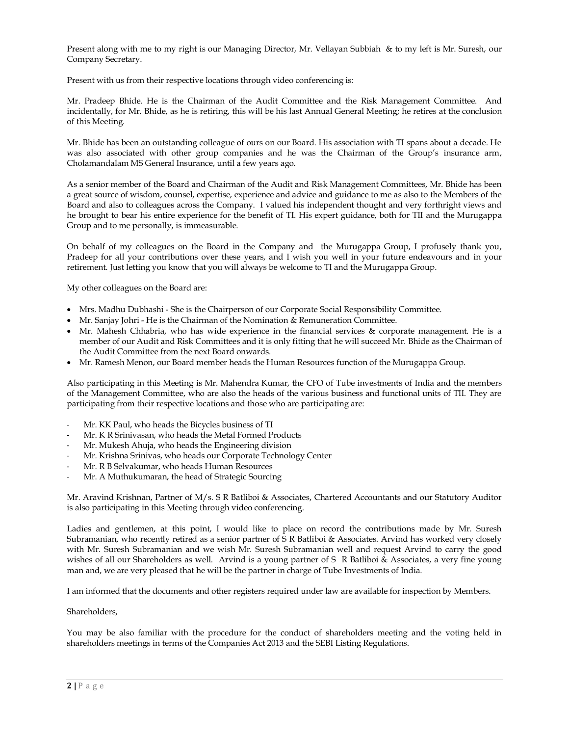Present along with me to my right is our Managing Director, Mr. Vellayan Subbiah & to my left is Mr. Suresh, our Company Secretary.

Present with us from their respective locations through video conferencing is:

Mr. Pradeep Bhide. He is the Chairman of the Audit Committee and the Risk Management Committee. And incidentally, for Mr. Bhide, as he is retiring, this will be his last Annual General Meeting; he retires at the conclusion of this Meeting.

Mr. Bhide has been an outstanding colleague of ours on our Board. His association with TI spans about a decade. He was also associated with other group companies and he was the Chairman of the Group's insurance arm, Cholamandalam MS General Insurance, until a few years ago.

As a senior member of the Board and Chairman of the Audit and Risk Management Committees, Mr. Bhide has been a great source of wisdom, counsel, expertise, experience and advice and guidance to me as also to the Members of the Board and also to colleagues across the Company. I valued his independent thought and very forthright views and he brought to bear his entire experience for the benefit of TI. His expert guidance, both for TII and the Murugappa Group and to me personally, is immeasurable.

On behalf of my colleagues on the Board in the Company and the Murugappa Group, I profusely thank you, Pradeep for all your contributions over these years, and I wish you well in your future endeavours and in your retirement. Just letting you know that you will always be welcome to TI and the Murugappa Group.

My other colleagues on the Board are:

- Mrs. Madhu Dubhashi She is the Chairperson of our Corporate Social Responsibility Committee.
- Mr. Sanjay Johri He is the Chairman of the Nomination & Remuneration Committee.
- Mr. Mahesh Chhabria, who has wide experience in the financial services & corporate management. He is a member of our Audit and Risk Committees and it is only fitting that he will succeed Mr. Bhide as the Chairman of the Audit Committee from the next Board onwards.
- Mr. Ramesh Menon, our Board member heads the Human Resources function of the Murugappa Group.

Also participating in this Meeting is Mr. Mahendra Kumar, the CFO of Tube investments of India and the members of the Management Committee, who are also the heads of the various business and functional units of TII. They are participating from their respective locations and those who are participating are:

- Mr. KK Paul, who heads the Bicycles business of TI
- Mr. K R Srinivasan, who heads the Metal Formed Products
- Mr. Mukesh Ahuja, who heads the Engineering division
- Mr. Krishna Srinivas, who heads our Corporate Technology Center
- Mr. R B Selvakumar, who heads Human Resources
- Mr. A Muthukumaran, the head of Strategic Sourcing

Mr. Aravind Krishnan, Partner of M/s. S R Batliboi & Associates, Chartered Accountants and our Statutory Auditor is also participating in this Meeting through video conferencing.

Ladies and gentlemen, at this point, I would like to place on record the contributions made by Mr. Suresh Subramanian, who recently retired as a senior partner of S R Batliboi & Associates. Arvind has worked very closely with Mr. Suresh Subramanian and we wish Mr. Suresh Subramanian well and request Arvind to carry the good wishes of all our Shareholders as well. Arvind is a young partner of S R Batliboi & Associates, a very fine young man and, we are very pleased that he will be the partner in charge of Tube Investments of India.

I am informed that the documents and other registers required under law are available for inspection by Members.

## Shareholders,

You may be also familiar with the procedure for the conduct of shareholders meeting and the voting held in shareholders meetings in terms of the Companies Act 2013 and the SEBI Listing Regulations.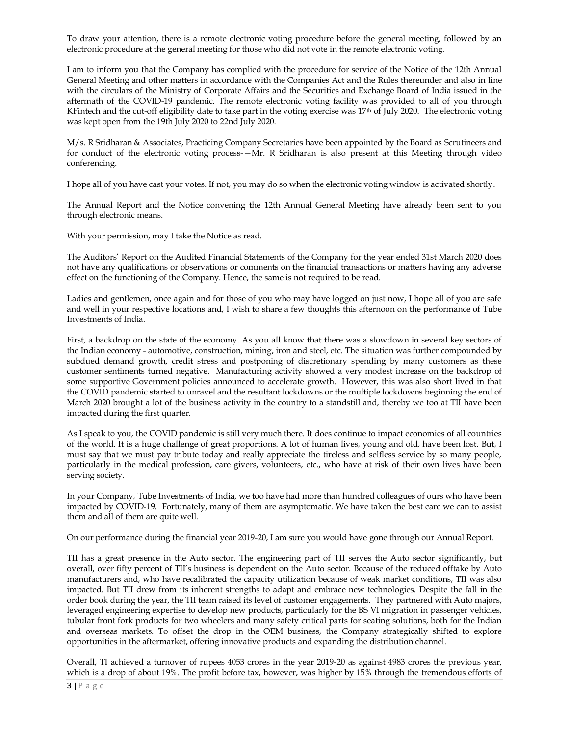To draw your attention, there is a remote electronic voting procedure before the general meeting, followed by an electronic procedure at the general meeting for those who did not vote in the remote electronic voting.

I am to inform you that the Company has complied with the procedure for service of the Notice of the 12th Annual General Meeting and other matters in accordance with the Companies Act and the Rules thereunder and also in line with the circulars of the Ministry of Corporate Affairs and the Securities and Exchange Board of India issued in the aftermath of the COVID-19 pandemic. The remote electronic voting facility was provided to all of you through KFintech and the cut-off eligibility date to take part in the voting exercise was 17<sup>th</sup> of July 2020. The electronic voting was kept open from the 19th July 2020 to 22nd July 2020.

M/s. R Sridharan & Associates, Practicing Company Secretaries have been appointed by the Board as Scrutineers and for conduct of the electronic voting process-—Mr. R Sridharan is also present at this Meeting through video conferencing.

I hope all of you have cast your votes. If not, you may do so when the electronic voting window is activated shortly.

The Annual Report and the Notice convening the 12th Annual General Meeting have already been sent to you through electronic means.

With your permission, may I take the Notice as read.

The Auditors' Report on the Audited Financial Statements of the Company for the year ended 31st March 2020 does not have any qualifications or observations or comments on the financial transactions or matters having any adverse effect on the functioning of the Company. Hence, the same is not required to be read.

Ladies and gentlemen, once again and for those of you who may have logged on just now, I hope all of you are safe and well in your respective locations and, I wish to share a few thoughts this afternoon on the performance of Tube Investments of India.

First, a backdrop on the state of the economy. As you all know that there was a slowdown in several key sectors of the Indian economy - automotive, construction, mining, iron and steel, etc. The situation was further compounded by subdued demand growth, credit stress and postponing of discretionary spending by many customers as these customer sentiments turned negative. Manufacturing activity showed a very modest increase on the backdrop of some supportive Government policies announced to accelerate growth. However, this was also short lived in that the COVID pandemic started to unravel and the resultant lockdowns or the multiple lockdowns beginning the end of March 2020 brought a lot of the business activity in the country to a standstill and, thereby we too at TII have been impacted during the first quarter.

As I speak to you, the COVID pandemic is still very much there. It does continue to impact economies of all countries of the world. It is a huge challenge of great proportions. A lot of human lives, young and old, have been lost. But, I must say that we must pay tribute today and really appreciate the tireless and selfless service by so many people, particularly in the medical profession, care givers, volunteers, etc., who have at risk of their own lives have been serving society.

In your Company, Tube Investments of India, we too have had more than hundred colleagues of ours who have been impacted by COVID-19. Fortunately, many of them are asymptomatic. We have taken the best care we can to assist them and all of them are quite well.

On our performance during the financial year 2019-20, I am sure you would have gone through our Annual Report.

TII has a great presence in the Auto sector. The engineering part of TII serves the Auto sector significantly, but overall, over fifty percent of TII's business is dependent on the Auto sector. Because of the reduced offtake by Auto manufacturers and, who have recalibrated the capacity utilization because of weak market conditions, TII was also impacted. But TII drew from its inherent strengths to adapt and embrace new technologies. Despite the fall in the order book during the year, the TII team raised its level of customer engagements. They partnered with Auto majors, leveraged engineering expertise to develop new products, particularly for the BS VI migration in passenger vehicles, tubular front fork products for two wheelers and many safety critical parts for seating solutions, both for the Indian and overseas markets. To offset the drop in the OEM business, the Company strategically shifted to explore opportunities in the aftermarket, offering innovative products and expanding the distribution channel.

Overall, TI achieved a turnover of rupees 4053 crores in the year 2019-20 as against 4983 crores the previous year, which is a drop of about 19%. The profit before tax, however, was higher by 15% through the tremendous efforts of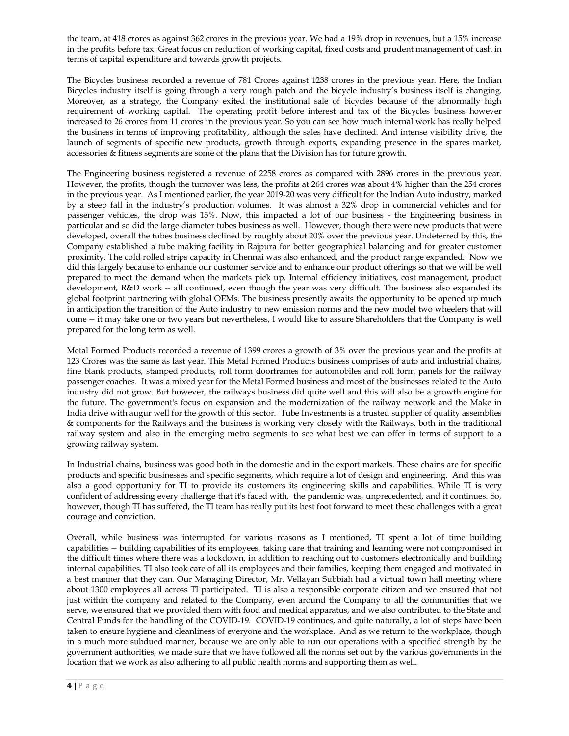the team, at 418 crores as against 362 crores in the previous year. We had a 19% drop in revenues, but a 15% increase in the profits before tax. Great focus on reduction of working capital, fixed costs and prudent management of cash in terms of capital expenditure and towards growth projects.

The Bicycles business recorded a revenue of 781 Crores against 1238 crores in the previous year. Here, the Indian Bicycles industry itself is going through a very rough patch and the bicycle industry's business itself is changing. Moreover, as a strategy, the Company exited the institutional sale of bicycles because of the abnormally high requirement of working capital. The operating profit before interest and tax of the Bicycles business however increased to 26 crores from 11 crores in the previous year. So you can see how much internal work has really helped the business in terms of improving profitability, although the sales have declined. And intense visibility drive, the launch of segments of specific new products, growth through exports, expanding presence in the spares market, accessories & fitness segments are some of the plans that the Division has for future growth.

The Engineering business registered a revenue of 2258 crores as compared with 2896 crores in the previous year. However, the profits, though the turnover was less, the profits at 264 crores was about 4% higher than the 254 crores in the previous year. As I mentioned earlier, the year 2019-20 was very difficult for the Indian Auto industry, marked by a steep fall in the industry's production volumes. It was almost a 32% drop in commercial vehicles and for passenger vehicles, the drop was 15%. Now, this impacted a lot of our business - the Engineering business in particular and so did the large diameter tubes business as well. However, though there were new products that were developed, overall the tubes business declined by roughly about 20% over the previous year. Undeterred by this, the Company established a tube making facility in Rajpura for better geographical balancing and for greater customer proximity. The cold rolled strips capacity in Chennai was also enhanced, and the product range expanded. Now we did this largely because to enhance our customer service and to enhance our product offerings so that we will be well prepared to meet the demand when the markets pick up. Internal efficiency initiatives, cost management, product development, R&D work -- all continued, even though the year was very difficult. The business also expanded its global footprint partnering with global OEMs. The business presently awaits the opportunity to be opened up much in anticipation the transition of the Auto industry to new emission norms and the new model two wheelers that will come -- it may take one or two years but nevertheless, I would like to assure Shareholders that the Company is well prepared for the long term as well.

Metal Formed Products recorded a revenue of 1399 crores a growth of 3% over the previous year and the profits at 123 Crores was the same as last year. This Metal Formed Products business comprises of auto and industrial chains, fine blank products, stamped products, roll form doorframes for automobiles and roll form panels for the railway passenger coaches. It was a mixed year for the Metal Formed business and most of the businesses related to the Auto industry did not grow. But however, the railways business did quite well and this will also be a growth engine for the future. The government's focus on expansion and the modernization of the railway network and the Make in India drive with augur well for the growth of this sector. Tube Investments is a trusted supplier of quality assemblies & components for the Railways and the business is working very closely with the Railways, both in the traditional railway system and also in the emerging metro segments to see what best we can offer in terms of support to a growing railway system.

In Industrial chains, business was good both in the domestic and in the export markets. These chains are for specific products and specific businesses and specific segments, which require a lot of design and engineering. And this was also a good opportunity for TI to provide its customers its engineering skills and capabilities. While TI is very confident of addressing every challenge that it's faced with, the pandemic was, unprecedented, and it continues. So, however, though TI has suffered, the TI team has really put its best foot forward to meet these challenges with a great courage and conviction.

Overall, while business was interrupted for various reasons as I mentioned, TI spent a lot of time building capabilities -- building capabilities of its employees, taking care that training and learning were not compromised in the difficult times where there was a lockdown, in addition to reaching out to customers electronically and building internal capabilities. TI also took care of all its employees and their families, keeping them engaged and motivated in a best manner that they can. Our Managing Director, Mr. Vellayan Subbiah had a virtual town hall meeting where about 1300 employees all across TI participated. TI is also a responsible corporate citizen and we ensured that not just within the company and related to the Company, even around the Company to all the communities that we serve, we ensured that we provided them with food and medical apparatus, and we also contributed to the State and Central Funds for the handling of the COVID-19. COVID-19 continues, and quite naturally, a lot of steps have been taken to ensure hygiene and cleanliness of everyone and the workplace. And as we return to the workplace, though in a much more subdued manner, because we are only able to run our operations with a specified strength by the government authorities, we made sure that we have followed all the norms set out by the various governments in the location that we work as also adhering to all public health norms and supporting them as well.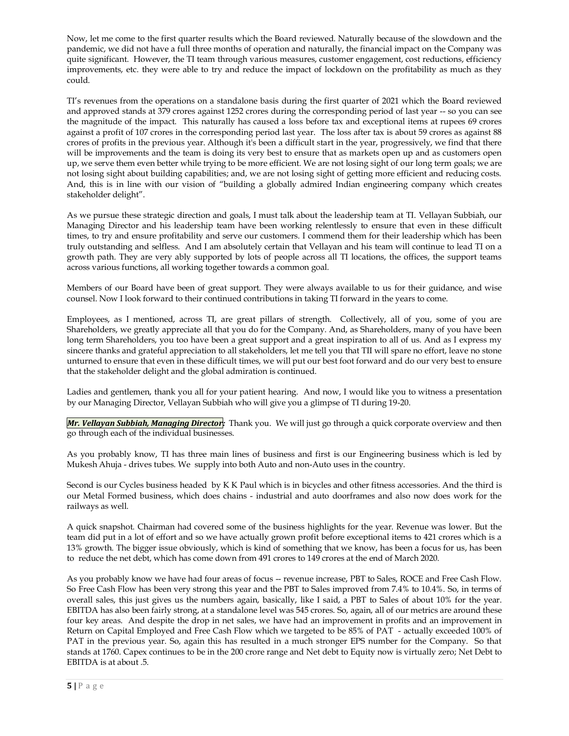Now, let me come to the first quarter results which the Board reviewed. Naturally because of the slowdown and the pandemic, we did not have a full three months of operation and naturally, the financial impact on the Company was quite significant. However, the TI team through various measures, customer engagement, cost reductions, efficiency improvements, etc. they were able to try and reduce the impact of lockdown on the profitability as much as they could.

TI's revenues from the operations on a standalone basis during the first quarter of 2021 which the Board reviewed and approved stands at 379 crores against 1252 crores during the corresponding period of last year -- so you can see the magnitude of the impact. This naturally has caused a loss before tax and exceptional items at rupees 69 crores against a profit of 107 crores in the corresponding period last year. The loss after tax is about 59 crores as against 88 crores of profits in the previous year. Although it's been a difficult start in the year, progressively, we find that there will be improvements and the team is doing its very best to ensure that as markets open up and as customers open up, we serve them even better while trying to be more efficient. We are not losing sight of our long term goals; we are not losing sight about building capabilities; and, we are not losing sight of getting more efficient and reducing costs. And, this is in line with our vision of "building a globally admired Indian engineering company which creates stakeholder delight".

As we pursue these strategic direction and goals, I must talk about the leadership team at TI. Vellayan Subbiah, our Managing Director and his leadership team have been working relentlessly to ensure that even in these difficult times, to try and ensure profitability and serve our customers. I commend them for their leadership which has been truly outstanding and selfless. And I am absolutely certain that Vellayan and his team will continue to lead TI on a growth path. They are very ably supported by lots of people across all TI locations, the offices, the support teams across various functions, all working together towards a common goal.

Members of our Board have been of great support. They were always available to us for their guidance, and wise counsel. Now I look forward to their continued contributions in taking TI forward in the years to come.

Employees, as I mentioned, across TI, are great pillars of strength. Collectively, all of you, some of you are Shareholders, we greatly appreciate all that you do for the Company. And, as Shareholders, many of you have been long term Shareholders, you too have been a great support and a great inspiration to all of us. And as I express my sincere thanks and grateful appreciation to all stakeholders, let me tell you that TII will spare no effort, leave no stone unturned to ensure that even in these difficult times, we will put our best foot forward and do our very best to ensure that the stakeholder delight and the global admiration is continued.

Ladies and gentlemen, thank you all for your patient hearing. And now, I would like you to witness a presentation by our Managing Director, Vellayan Subbiah who will give you a glimpse of TI during 19-20.

*Mr. Vellayan Subbiah, Managing Director:* Thank you. We will just go through a quick corporate overview and then go through each of the individual businesses.

As you probably know, TI has three main lines of business and first is our Engineering business which is led by Mukesh Ahuja - drives tubes. We supply into both Auto and non-Auto uses in the country.

Second is our Cycles business headed by K K Paul which is in bicycles and other fitness accessories. And the third is our Metal Formed business, which does chains - industrial and auto doorframes and also now does work for the railways as well.

A quick snapshot. Chairman had covered some of the business highlights for the year. Revenue was lower. But the team did put in a lot of effort and so we have actually grown profit before exceptional items to 421 crores which is a 13% growth. The bigger issue obviously, which is kind of something that we know, has been a focus for us, has been to reduce the net debt, which has come down from 491 crores to 149 crores at the end of March 2020.

As you probably know we have had four areas of focus -- revenue increase, PBT to Sales, ROCE and Free Cash Flow. So Free Cash Flow has been very strong this year and the PBT to Sales improved from 7.4% to 10.4%. So, in terms of overall sales, this just gives us the numbers again, basically, like I said, a PBT to Sales of about 10% for the year. EBITDA has also been fairly strong, at a standalone level was 545 crores. So, again, all of our metrics are around these four key areas. And despite the drop in net sales, we have had an improvement in profits and an improvement in Return on Capital Employed and Free Cash Flow which we targeted to be 85% of PAT - actually exceeded 100% of PAT in the previous year. So, again this has resulted in a much stronger EPS number for the Company. So that stands at 1760. Capex continues to be in the 200 crore range and Net debt to Equity now is virtually zero; Net Debt to EBITDA is at about .5.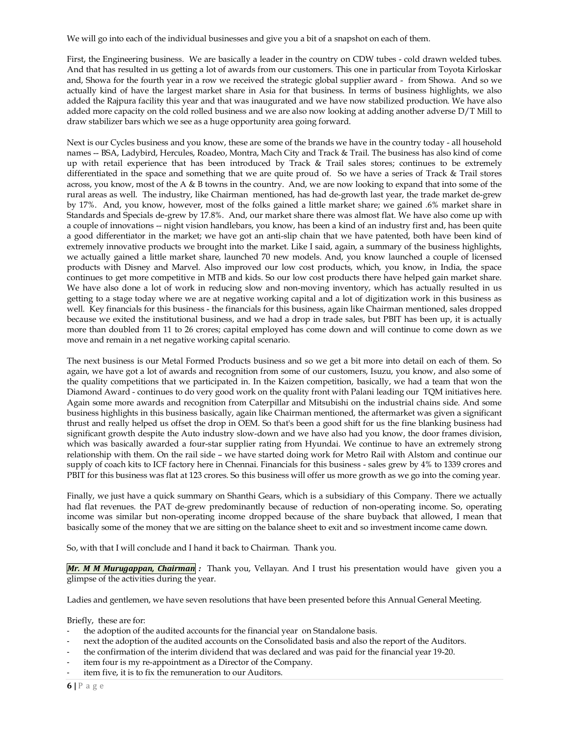We will go into each of the individual businesses and give you a bit of a snapshot on each of them.

First, the Engineering business. We are basically a leader in the country on CDW tubes - cold drawn welded tubes. And that has resulted in us getting a lot of awards from our customers. This one in particular from Toyota Kirloskar and, Showa for the fourth year in a row we received the strategic global supplier award - from Showa. And so we actually kind of have the largest market share in Asia for that business. In terms of business highlights, we also added the Rajpura facility this year and that was inaugurated and we have now stabilized production. We have also added more capacity on the cold rolled business and we are also now looking at adding another adverse D/T Mill to draw stabilizer bars which we see as a huge opportunity area going forward.

Next is our Cycles business and you know, these are some of the brands we have in the country today - all household names -- BSA, Ladybird, Hercules, Roadeo, Montra, Mach City and Track & Trail. The business has also kind of come up with retail experience that has been introduced by Track & Trail sales stores; continues to be extremely differentiated in the space and something that we are quite proud of. So we have a series of Track & Trail stores across, you know, most of the A & B towns in the country. And, we are now looking to expand that into some of the rural areas as well. The industry, like Chairman mentioned, has had de-growth last year, the trade market de-grew by 17%. And, you know, however, most of the folks gained a little market share; we gained .6% market share in Standards and Specials de-grew by 17.8%. And, our market share there was almost flat. We have also come up with a couple of innovations -- night vision handlebars, you know, has been a kind of an industry first and, has been quite a good differentiator in the market; we have got an anti-slip chain that we have patented, both have been kind of extremely innovative products we brought into the market. Like I said, again, a summary of the business highlights, we actually gained a little market share, launched 70 new models. And, you know launched a couple of licensed products with Disney and Marvel. Also improved our low cost products, which, you know, in India, the space continues to get more competitive in MTB and kids. So our low cost products there have helped gain market share. We have also done a lot of work in reducing slow and non-moving inventory, which has actually resulted in us getting to a stage today where we are at negative working capital and a lot of digitization work in this business as well. Key financials for this business - the financials for this business, again like Chairman mentioned, sales dropped because we exited the institutional business, and we had a drop in trade sales, but PBIT has been up, it is actually more than doubled from 11 to 26 crores; capital employed has come down and will continue to come down as we move and remain in a net negative working capital scenario.

The next business is our Metal Formed Products business and so we get a bit more into detail on each of them. So again, we have got a lot of awards and recognition from some of our customers, Isuzu, you know, and also some of the quality competitions that we participated in. In the Kaizen competition, basically, we had a team that won the Diamond Award - continues to do very good work on the quality front with Palani leading our TQM initiatives here. Again some more awards and recognition from Caterpillar and Mitsubishi on the industrial chains side. And some business highlights in this business basically, again like Chairman mentioned, the aftermarket was given a significant thrust and really helped us offset the drop in OEM. So that's been a good shift for us the fine blanking business had significant growth despite the Auto industry slow-down and we have also had you know, the door frames division, which was basically awarded a four-star supplier rating from Hyundai. We continue to have an extremely strong relationship with them. On the rail side – we have started doing work for Metro Rail with Alstom and continue our supply of coach kits to ICF factory here in Chennai. Financials for this business - sales grew by 4% to 1339 crores and PBIT for this business was flat at 123 crores. So this business will offer us more growth as we go into the coming year.

Finally, we just have a quick summary on Shanthi Gears, which is a subsidiary of this Company. There we actually had flat revenues. the PAT de-grew predominantly because of reduction of non-operating income. So, operating income was similar but non-operating income dropped because of the share buyback that allowed, I mean that basically some of the money that we are sitting on the balance sheet to exit and so investment income came down.

So, with that I will conclude and I hand it back to Chairman. Thank you.

*Mr. M M Murugappan, Chairman :* Thank you, Vellayan. And I trust his presentation would have given you a glimpse of the activities during the year.

Ladies and gentlemen, we have seven resolutions that have been presented before this Annual General Meeting.

Briefly, these are for:

- the adoption of the audited accounts for the financial year on Standalone basis.
- next the adoption of the audited accounts on the Consolidated basis and also the report of the Auditors.
- the confirmation of the interim dividend that was declared and was paid for the financial year 19-20.
- item four is my re-appointment as a Director of the Company.
- item five, it is to fix the remuneration to our Auditors.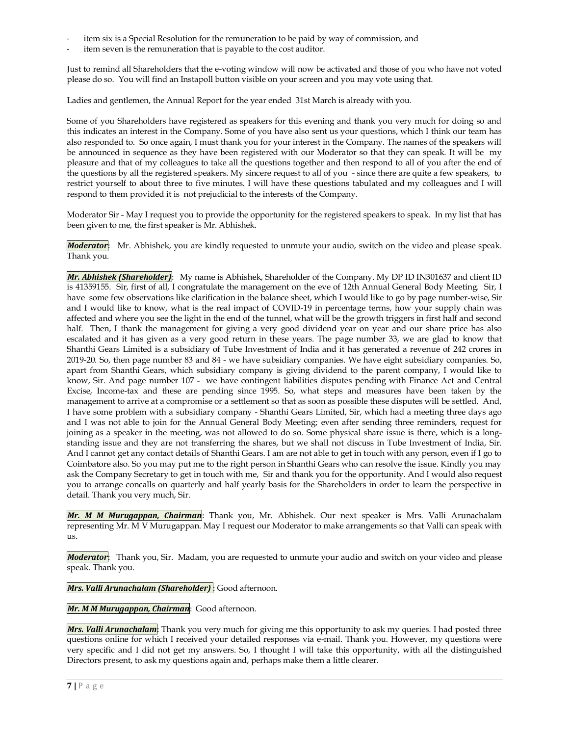- item six is a Special Resolution for the remuneration to be paid by way of commission, and
- item seven is the remuneration that is payable to the cost auditor.

Just to remind all Shareholders that the e-voting window will now be activated and those of you who have not voted please do so. You will find an Instapoll button visible on your screen and you may vote using that.

Ladies and gentlemen, the Annual Report for the year ended 31st March is already with you.

Some of you Shareholders have registered as speakers for this evening and thank you very much for doing so and this indicates an interest in the Company. Some of you have also sent us your questions, which I think our team has also responded to. So once again, I must thank you for your interest in the Company. The names of the speakers will be announced in sequence as they have been registered with our Moderator so that they can speak. It will be my pleasure and that of my colleagues to take all the questions together and then respond to all of you after the end of the questions by all the registered speakers. My sincere request to all of you - since there are quite a few speakers, to restrict yourself to about three to five minutes. I will have these questions tabulated and my colleagues and I will respond to them provided it is not prejudicial to the interests of the Company.

Moderator Sir - May I request you to provide the opportunity for the registered speakers to speak. In my list that has been given to me, the first speaker is Mr. Abhishek.

*Moderator*: Mr. Abhishek, you are kindly requested to unmute your audio, switch on the video and please speak. Thank you.

*Mr. Abhishek (Shareholder)*: My name is Abhishek, Shareholder of the Company. My DP ID IN301637 and client ID is 41359155. Sir, first of all, I congratulate the management on the eve of 12th Annual General Body Meeting. Sir, I have some few observations like clarification in the balance sheet, which I would like to go by page number-wise, Sir and I would like to know, what is the real impact of COVID-19 in percentage terms, how your supply chain was affected and where you see the light in the end of the tunnel, what will be the growth triggers in first half and second half. Then, I thank the management for giving a very good dividend year on year and our share price has also escalated and it has given as a very good return in these years. The page number 33, we are glad to know that Shanthi Gears Limited is a subsidiary of Tube Investment of India and it has generated a revenue of 242 crores in 2019-20. So, then page number 83 and 84 - we have subsidiary companies. We have eight subsidiary companies. So, apart from Shanthi Gears, which subsidiary company is giving dividend to the parent company, I would like to know, Sir. And page number 107 - we have contingent liabilities disputes pending with Finance Act and Central Excise, Income-tax and these are pending since 1995. So, what steps and measures have been taken by the management to arrive at a compromise or a settlement so that as soon as possible these disputes will be settled. And, I have some problem with a subsidiary company - Shanthi Gears Limited, Sir, which had a meeting three days ago and I was not able to join for the Annual General Body Meeting; even after sending three reminders, request for joining as a speaker in the meeting, was not allowed to do so. Some physical share issue is there, which is a longstanding issue and they are not transferring the shares, but we shall not discuss in Tube Investment of India, Sir. And I cannot get any contact details of Shanthi Gears. I am are not able to get in touch with any person, even if I go to Coimbatore also. So you may put me to the right person in Shanthi Gears who can resolve the issue. Kindly you may ask the Company Secretary to get in touch with me, Sir and thank you for the opportunity. And I would also request you to arrange concalls on quarterly and half yearly basis for the Shareholders in order to learn the perspective in detail. Thank you very much, Sir.

*Mr. M M Murugappan, Chairman*: Thank you, Mr. Abhishek. Our next speaker is Mrs. Valli Arunachalam representing Mr. M V Murugappan. May I request our Moderator to make arrangements so that Valli can speak with us.

*Moderator*: Thank you, Sir. Madam, you are requested to unmute your audio and switch on your video and please speak. Thank you.

*Mrs. Valli Arunachalam (Shareholder)* : Good afternoon.

*Mr. M M Murugappan, Chairman*: Good afternoon.

*Mrs. Valli Arunachalam*: Thank you very much for giving me this opportunity to ask my queries. I had posted three questions online for which I received your detailed responses via e-mail. Thank you. However, my questions were very specific and I did not get my answers. So, I thought I will take this opportunity, with all the distinguished Directors present, to ask my questions again and, perhaps make them a little clearer.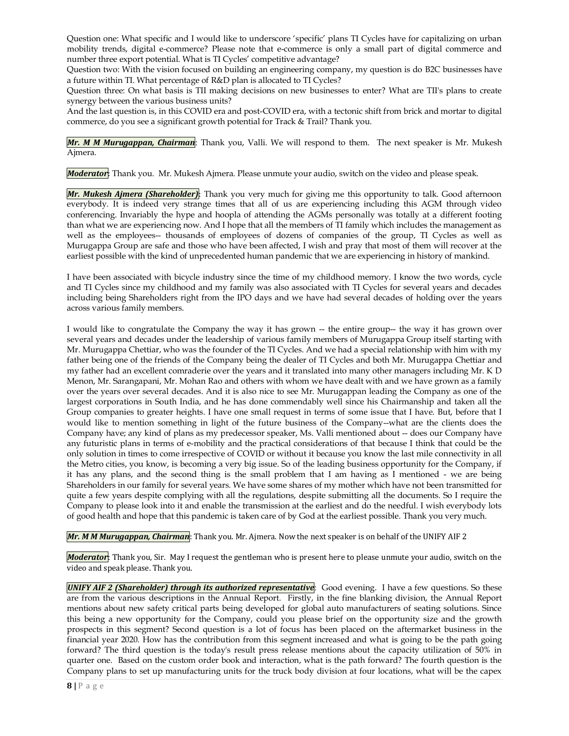Question one: What specific and I would like to underscore 'specific' plans TI Cycles have for capitalizing on urban mobility trends, digital e-commerce? Please note that e-commerce is only a small part of digital commerce and number three export potential. What is TI Cycles' competitive advantage?

Question two: With the vision focused on building an engineering company, my question is do B2C businesses have a future within TI. What percentage of R&D plan is allocated to TI Cycles?

Question three: On what basis is TII making decisions on new businesses to enter? What are TII's plans to create synergy between the various business units?

And the last question is, in this COVID era and post-COVID era, with a tectonic shift from brick and mortar to digital commerce, do you see a significant growth potential for Track & Trail? Thank you.

*Mr. M M Murugappan, Chairman*: Thank you, Valli. We will respond to them. The next speaker is Mr. Mukesh Ajmera.

*Moderator*: Thank you. Mr. Mukesh Ajmera. Please unmute your audio, switch on the video and please speak.

*Mr. Mukesh Ajmera (Shareholder)*: Thank you very much for giving me this opportunity to talk. Good afternoon everybody. It is indeed very strange times that all of us are experiencing including this AGM through video conferencing. Invariably the hype and hoopla of attending the AGMs personally was totally at a different footing than what we are experiencing now. And I hope that all the members of TI family which includes the management as well as the employees-- thousands of employees of dozens of companies of the group, TI Cycles as well as Murugappa Group are safe and those who have been affected, I wish and pray that most of them will recover at the earliest possible with the kind of unprecedented human pandemic that we are experiencing in history of mankind.

I have been associated with bicycle industry since the time of my childhood memory. I know the two words, cycle and TI Cycles since my childhood and my family was also associated with TI Cycles for several years and decades including being Shareholders right from the IPO days and we have had several decades of holding over the years across various family members.

I would like to congratulate the Company the way it has grown -- the entire group-- the way it has grown over several years and decades under the leadership of various family members of Murugappa Group itself starting with Mr. Murugappa Chettiar, who was the founder of the TI Cycles. And we had a special relationship with him with my father being one of the friends of the Company being the dealer of TI Cycles and both Mr. Murugappa Chettiar and my father had an excellent comraderie over the years and it translated into many other managers including Mr. K D Menon, Mr. Sarangapani, Mr. Mohan Rao and others with whom we have dealt with and we have grown as a family over the years over several decades. And it is also nice to see Mr. Murugappan leading the Company as one of the largest corporations in South India, and he has done commendably well since his Chairmanship and taken all the Group companies to greater heights. I have one small request in terms of some issue that I have. But, before that I would like to mention something in light of the future business of the Company--what are the clients does the Company have; any kind of plans as my predecessor speaker, Ms. Valli mentioned about -- does our Company have any futuristic plans in terms of e-mobility and the practical considerations of that because I think that could be the only solution in times to come irrespective of COVID or without it because you know the last mile connectivity in all the Metro cities, you know, is becoming a very big issue. So of the leading business opportunity for the Company, if it has any plans, and the second thing is the small problem that I am having as I mentioned - we are being Shareholders in our family for several years. We have some shares of my mother which have not been transmitted for quite a few years despite complying with all the regulations, despite submitting all the documents. So I require the Company to please look into it and enable the transmission at the earliest and do the needful. I wish everybody lots of good health and hope that this pandemic is taken care of by God at the earliest possible. Thank you very much.

*Mr. M M Murugappan, Chairman*: Thank you. Mr. Ajmera. Now the next speaker is on behalf of the UNIFY AIF 2

*Moderator*: Thank you, Sir. May I request the gentleman who is present here to please unmute your audio, switch on the video and speak please. Thank you.

*UNIFY AIF 2 (Shareholder) through its authorized representative*: Good evening. I have a few questions. So these are from the various descriptions in the Annual Report. Firstly, in the fine blanking division, the Annual Report mentions about new safety critical parts being developed for global auto manufacturers of seating solutions. Since this being a new opportunity for the Company, could you please brief on the opportunity size and the growth prospects in this segment? Second question is a lot of focus has been placed on the aftermarket business in the financial year 2020. How has the contribution from this segment increased and what is going to be the path going forward? The third question is the today's result press release mentions about the capacity utilization of 50% in quarter one. Based on the custom order book and interaction, what is the path forward? The fourth question is the Company plans to set up manufacturing units for the truck body division at four locations, what will be the capex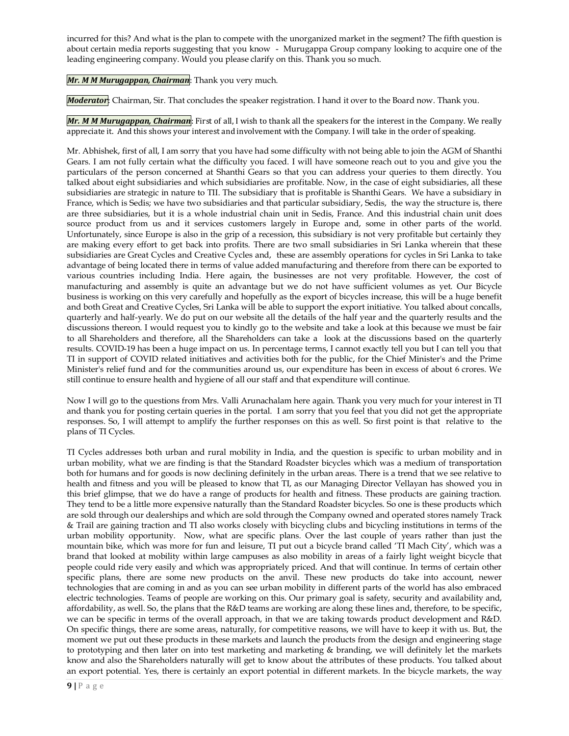incurred for this? And what is the plan to compete with the unorganized market in the segment? The fifth question is about certain media reports suggesting that you know - Murugappa Group company looking to acquire one of the leading engineering company. Would you please clarify on this. Thank you so much.

*Mr. M M Murugappan, Chairman*: Thank you very much.

*Moderator*: Chairman, Sir. That concludes the speaker registration. I hand it over to the Board now. Thank you.

*Mr. M M Murugappan, Chairman*: First of all, I wish to thank all the speakers for the interest in the Company. We really appreciate it. And this shows your interest and involvement with the Company. I will take in the order of speaking.

Mr. Abhishek, first of all, I am sorry that you have had some difficulty with not being able to join the AGM of Shanthi Gears. I am not fully certain what the difficulty you faced. I will have someone reach out to you and give you the particulars of the person concerned at Shanthi Gears so that you can address your queries to them directly. You talked about eight subsidiaries and which subsidiaries are profitable. Now, in the case of eight subsidiaries, all these subsidiaries are strategic in nature to TII. The subsidiary that is profitable is Shanthi Gears. We have a subsidiary in France, which is Sedis; we have two subsidiaries and that particular subsidiary, Sedis, the way the structure is, there are three subsidiaries, but it is a whole industrial chain unit in Sedis, France. And this industrial chain unit does source product from us and it services customers largely in Europe and, some in other parts of the world. Unfortunately, since Europe is also in the grip of a recession, this subsidiary is not very profitable but certainly they are making every effort to get back into profits. There are two small subsidiaries in Sri Lanka wherein that these subsidiaries are Great Cycles and Creative Cycles and, these are assembly operations for cycles in Sri Lanka to take advantage of being located there in terms of value added manufacturing and therefore from there can be exported to various countries including India. Here again, the businesses are not very profitable. However, the cost of manufacturing and assembly is quite an advantage but we do not have sufficient volumes as yet. Our Bicycle business is working on this very carefully and hopefully as the export of bicycles increase, this will be a huge benefit and both Great and Creative Cycles, Sri Lanka will be able to support the export initiative. You talked about concalls, quarterly and half-yearly. We do put on our website all the details of the half year and the quarterly results and the discussions thereon. I would request you to kindly go to the website and take a look at this because we must be fair to all Shareholders and therefore, all the Shareholders can take a look at the discussions based on the quarterly results. COVID-19 has been a huge impact on us. In percentage terms, I cannot exactly tell you but I can tell you that TI in support of COVID related initiatives and activities both for the public, for the Chief Minister's and the Prime Minister's relief fund and for the communities around us, our expenditure has been in excess of about 6 crores. We still continue to ensure health and hygiene of all our staff and that expenditure will continue.

Now I will go to the questions from Mrs. Valli Arunachalam here again. Thank you very much for your interest in TI and thank you for posting certain queries in the portal. I am sorry that you feel that you did not get the appropriate responses. So, I will attempt to amplify the further responses on this as well. So first point is that relative to the plans of TI Cycles.

TI Cycles addresses both urban and rural mobility in India, and the question is specific to urban mobility and in urban mobility, what we are finding is that the Standard Roadster bicycles which was a medium of transportation both for humans and for goods is now declining definitely in the urban areas. There is a trend that we see relative to health and fitness and you will be pleased to know that TI, as our Managing Director Vellayan has showed you in this brief glimpse, that we do have a range of products for health and fitness. These products are gaining traction. They tend to be a little more expensive naturally than the Standard Roadster bicycles. So one is these products which are sold through our dealerships and which are sold through the Company owned and operated stores namely Track & Trail are gaining traction and TI also works closely with bicycling clubs and bicycling institutions in terms of the urban mobility opportunity. Now, what are specific plans. Over the last couple of years rather than just the mountain bike, which was more for fun and leisure, TI put out a bicycle brand called 'TI Mach City', which was a brand that looked at mobility within large campuses as also mobility in areas of a fairly light weight bicycle that people could ride very easily and which was appropriately priced. And that will continue. In terms of certain other specific plans, there are some new products on the anvil. These new products do take into account, newer technologies that are coming in and as you can see urban mobility in different parts of the world has also embraced electric technologies. Teams of people are working on this. Our primary goal is safety, security and availability and, affordability, as well. So, the plans that the R&D teams are working are along these lines and, therefore, to be specific, we can be specific in terms of the overall approach, in that we are taking towards product development and R&D. On specific things, there are some areas, naturally, for competitive reasons, we will have to keep it with us. But, the moment we put out these products in these markets and launch the products from the design and engineering stage to prototyping and then later on into test marketing and marketing & branding, we will definitely let the markets know and also the Shareholders naturally will get to know about the attributes of these products. You talked about an export potential. Yes, there is certainly an export potential in different markets. In the bicycle markets, the way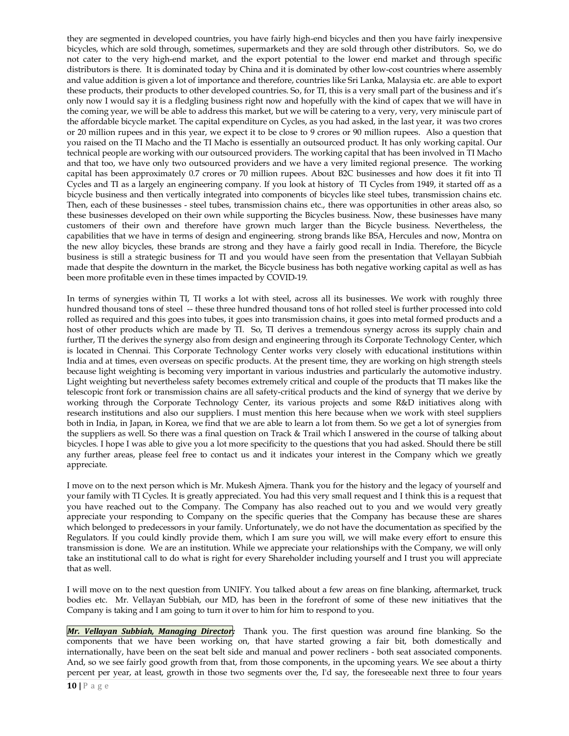they are segmented in developed countries, you have fairly high-end bicycles and then you have fairly inexpensive bicycles, which are sold through, sometimes, supermarkets and they are sold through other distributors. So, we do not cater to the very high-end market, and the export potential to the lower end market and through specific distributors is there. It is dominated today by China and it is dominated by other low-cost countries where assembly and value addition is given a lot of importance and therefore, countries like Sri Lanka, Malaysia etc. are able to export these products, their products to other developed countries. So, for TI, this is a very small part of the business and it's only now I would say it is a fledgling business right now and hopefully with the kind of capex that we will have in the coming year, we will be able to address this market, but we will be catering to a very, very, very miniscule part of the affordable bicycle market. The capital expenditure on Cycles, as you had asked, in the last year, it was two crores or 20 million rupees and in this year, we expect it to be close to 9 crores or 90 million rupees. Also a question that you raised on the TI Macho and the TI Macho is essentially an outsourced product. It has only working capital. Our technical people are working with our outsourced providers. The working capital that has been involved in TI Macho and that too, we have only two outsourced providers and we have a very limited regional presence. The working capital has been approximately 0.7 crores or 70 million rupees. About B2C businesses and how does it fit into TI Cycles and TI as a largely an engineering company. If you look at history of TI Cycles from 1949, it started off as a bicycle business and then vertically integrated into components of bicycles like steel tubes, transmission chains etc. Then, each of these businesses - steel tubes, transmission chains etc., there was opportunities in other areas also, so these businesses developed on their own while supporting the Bicycles business. Now, these businesses have many customers of their own and therefore have grown much larger than the Bicycle business. Nevertheless, the capabilities that we have in terms of design and engineering. strong brands like BSA, Hercules and now, Montra on the new alloy bicycles, these brands are strong and they have a fairly good recall in India. Therefore, the Bicycle business is still a strategic business for TI and you would have seen from the presentation that Vellayan Subbiah made that despite the downturn in the market, the Bicycle business has both negative working capital as well as has been more profitable even in these times impacted by COVID-19.

In terms of synergies within TI, TI works a lot with steel, across all its businesses. We work with roughly three hundred thousand tons of steel -- these three hundred thousand tons of hot rolled steel is further processed into cold rolled as required and this goes into tubes, it goes into transmission chains, it goes into metal formed products and a host of other products which are made by TI. So, TI derives a tremendous synergy across its supply chain and further, TI the derives the synergy also from design and engineering through its Corporate Technology Center, which is located in Chennai. This Corporate Technology Center works very closely with educational institutions within India and at times, even overseas on specific products. At the present time, they are working on high strength steels because light weighting is becoming very important in various industries and particularly the automotive industry. Light weighting but nevertheless safety becomes extremely critical and couple of the products that TI makes like the telescopic front fork or transmission chains are all safety-critical products and the kind of synergy that we derive by working through the Corporate Technology Center, its various projects and some R&D initiatives along with research institutions and also our suppliers. I must mention this here because when we work with steel suppliers both in India, in Japan, in Korea, we find that we are able to learn a lot from them. So we get a lot of synergies from the suppliers as well. So there was a final question on Track & Trail which I answered in the course of talking about bicycles. I hope I was able to give you a lot more specificity to the questions that you had asked. Should there be still any further areas, please feel free to contact us and it indicates your interest in the Company which we greatly appreciate.

I move on to the next person which is Mr. Mukesh Ajmera. Thank you for the history and the legacy of yourself and your family with TI Cycles. It is greatly appreciated. You had this very small request and I think this is a request that you have reached out to the Company. The Company has also reached out to you and we would very greatly appreciate your responding to Company on the specific queries that the Company has because these are shares which belonged to predecessors in your family. Unfortunately, we do not have the documentation as specified by the Regulators. If you could kindly provide them, which I am sure you will, we will make every effort to ensure this transmission is done. We are an institution. While we appreciate your relationships with the Company, we will only take an institutional call to do what is right for every Shareholder including yourself and I trust you will appreciate that as well.

I will move on to the next question from UNIFY. You talked about a few areas on fine blanking, aftermarket, truck bodies etc. Mr. Vellayan Subbiah, our MD, has been in the forefront of some of these new initiatives that the Company is taking and I am going to turn it over to him for him to respond to you.

*Mr. Vellayan Subbiah, Managing Director:* Thank you. The first question was around fine blanking. So the components that we have been working on, that have started growing a fair bit, both domestically and internationally, have been on the seat belt side and manual and power recliners - both seat associated components. And, so we see fairly good growth from that, from those components, in the upcoming years. We see about a thirty percent per year, at least, growth in those two segments over the, I'd say, the foreseeable next three to four years